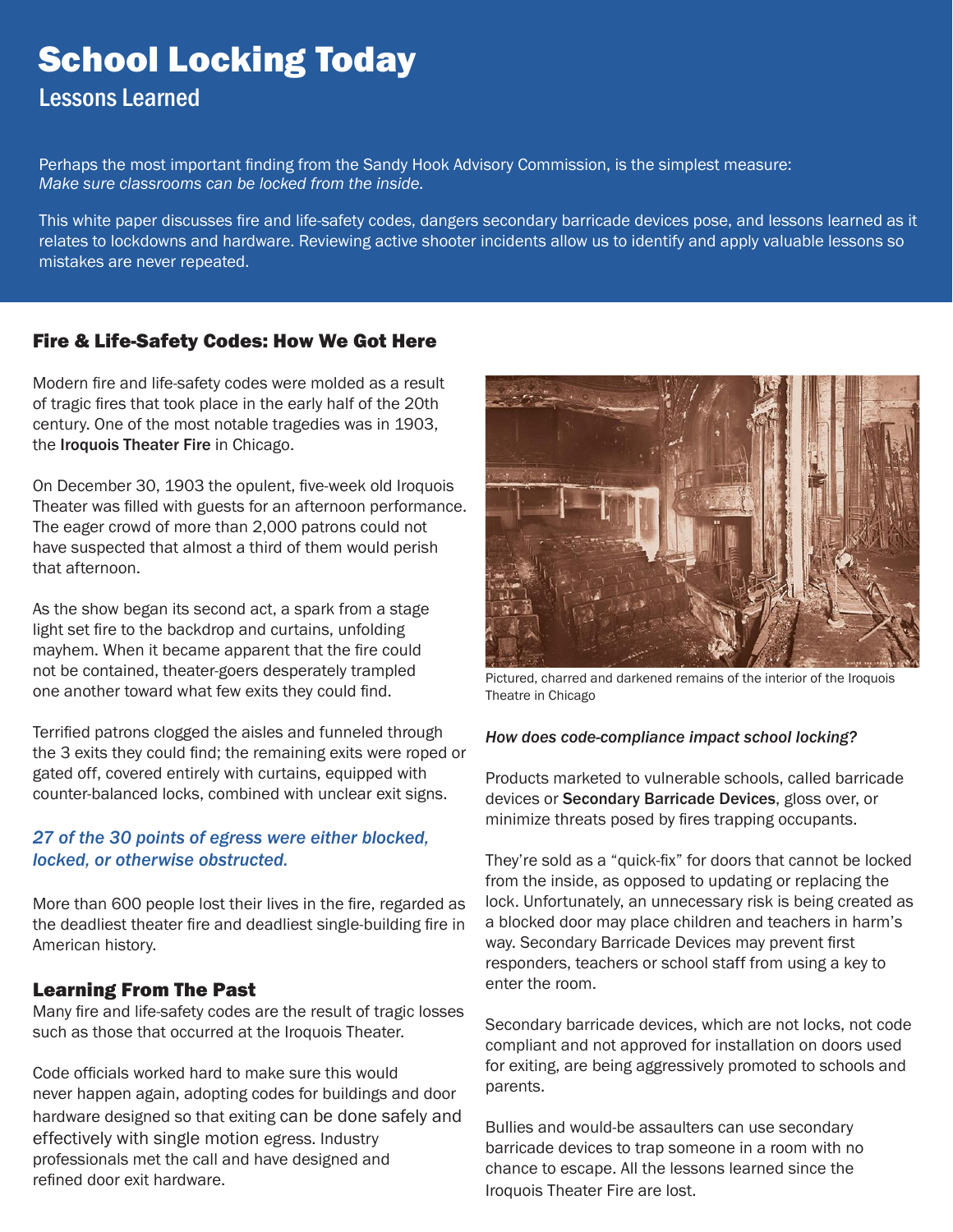# School Locking Today

# Lessons Learned

Perhaps the most important finding from the Sandy Hook Advisory Commission, is the simplest measure: *Make sure classrooms can be locked from the inside.*

This white paper discusses fire and life-safety codes, dangers secondary barricade devices pose, and lessons learned as it relates to lockdowns and hardware. Reviewing active shooter incidents allow us to identify and apply valuable lessons so mistakes are never repeated.

# Fire & Life-Safety Codes: How We Got Here

Modern fire and life-safety codes were molded as a result of tragic fires that took place in the early half of the 20th century. One of the most notable tragedies was in 1903, the Iroquois Theater Fire in Chicago.

On December 30, 1903 the opulent, five-week old Iroquois Theater was filled with guests for an afternoon performance. The eager crowd of more than 2,000 patrons could not have suspected that almost a third of them would perish that afternoon.

As the show began its second act, a spark from a stage light set fire to the backdrop and curtains, unfolding mayhem. When it became apparent that the fire could not be contained, theater-goers desperately trampled one another toward what few exits they could find.

Terrified patrons clogged the aisles and funneled through the 3 exits they could find; the remaining exits were roped or gated off, covered entirely with curtains, equipped with counter-balanced locks, combined with unclear exit signs.

# *27 of the 30 points of egress were either blocked, locked, or otherwise obstructed.*

More than 600 people lost their lives in the fire, regarded as the deadliest theater fire and deadliest single-building fire in American history.

# Learning From The Past

Many fire and life-safety codes are the result of tragic losses such as those that occurred at the Iroquois Theater.

Code officials worked hard to make sure this would never happen again, adopting codes for buildings and door hardware designed so that exiting can be done safely and effectively with single motion egress. Industry professionals met the call and have designed and refined door exit hardware.



Pictured, charred and darkened remains of the interior of the Iroquois Theatre in Chicago

### *How does code-compliance impact school locking?*

Products marketed to vulnerable schools, called barricade devices or Secondary Barricade Devices, gloss over, or minimize threats posed by fires trapping occupants.

They're sold as a "quick-fix" for doors that cannot be locked from the inside, as opposed to updating or replacing the lock. Unfortunately, an unnecessary risk is being created as a blocked door may place children and teachers in harm's way. Secondary Barricade Devices may prevent first responders, teachers or school staff from using a key to enter the room.

Secondary barricade devices, which are not locks, not code compliant and not approved for installation on doors used for exiting, are being aggressively promoted to schools and parents.

Bullies and would-be assaulters can use secondary barricade devices to trap someone in a room with no chance to escape. All the lessons learned since the Iroquois Theater Fire are lost.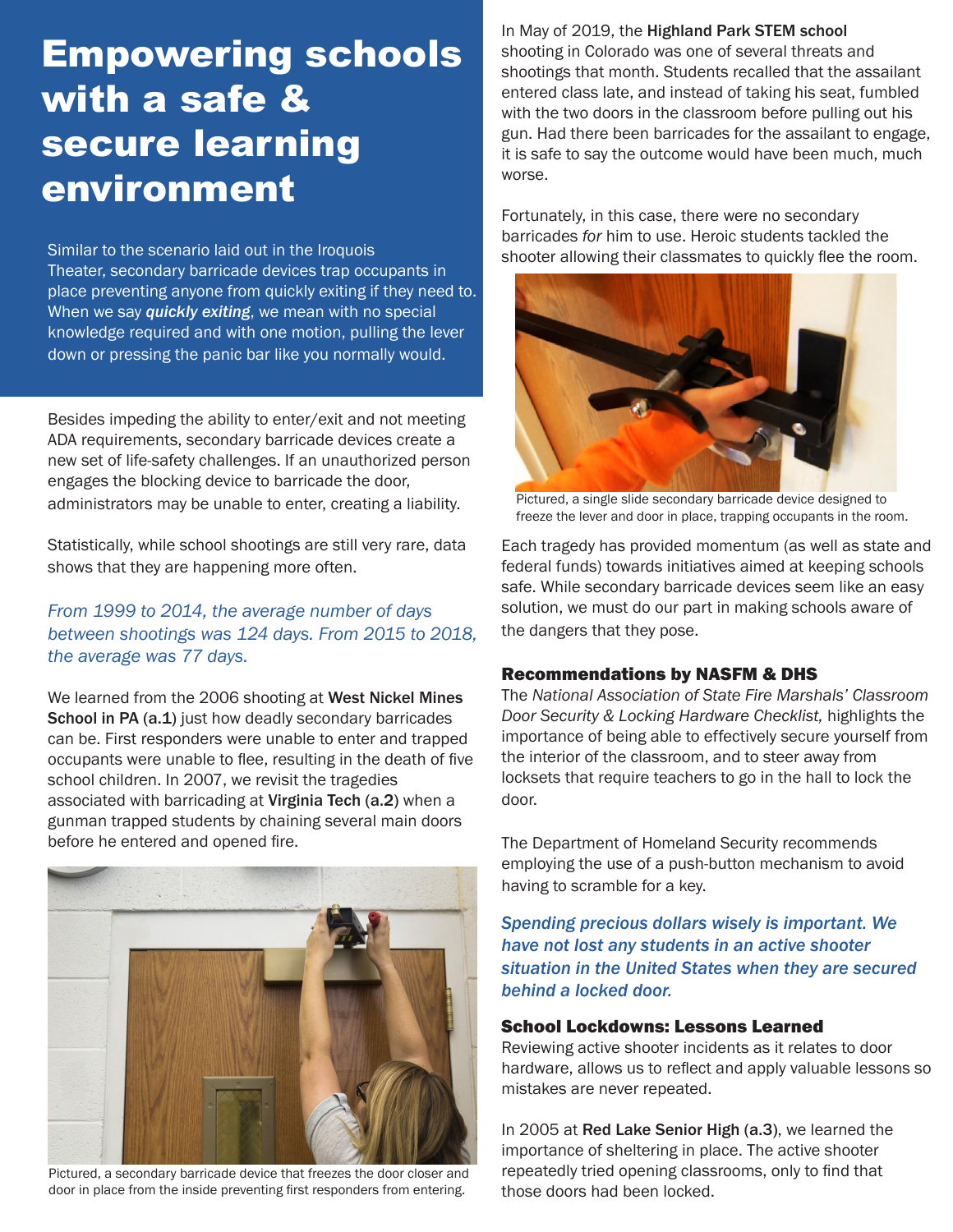# Empowering schools with a safe & secure learning environment

Similar to the scenario laid out in the Iroquois Theater, secondary barricade devices trap occupants in place preventing anyone from quickly exiting if they need to. When we say *quickly exiting*, we mean with no special knowledge required and with one motion, pulling the lever down or pressing the panic bar like you normally would.

Besides impeding the ability to enter/exit and not meeting ADA requirements, secondary barricade devices create a new set of life-safety challenges. If an unauthorized person engages the blocking device to barricade the door, administrators may be unable to enter, creating a liability.

Statistically, while school shootings are still very rare, data shows that they are happening more often.

# *From 1999 to 2014, the average number of days between shootings was 124 days. From 2015 to 2018, the average was 77 days.*

We learned from the 2006 shooting at West Nickel Mines School in PA (a.1) just how deadly secondary barricades can be. First responders were unable to enter and trapped occupants were unable to flee, resulting in the death of five school children. In 2007, we revisit the tragedies associated with barricading at Virginia Tech (a.2) when a gunman trapped students by chaining several main doors before he entered and opened fire.



Pictured, a secondary barricade device that freezes the door closer and door in place from the inside preventing first responders from entering.

In May of 2019, the Highland Park STEM school shooting in Colorado was one of several threats and shootings that month. Students recalled that the assailant entered class late, and instead of taking his seat, fumbled with the two doors in the classroom before pulling out his gun. Had there been barricades for the assailant to engage, it is safe to say the outcome would have been much, much worse.

Fortunately, in this case, there were no secondary barricades *for* him to use. Heroic students tackled the shooter allowing their classmates to quickly flee the room.



Pictured, a single slide secondary barricade device designed to freeze the lever and door in place, trapping occupants in the room.

Each tragedy has provided momentum (as well as state and federal funds) towards initiatives aimed at keeping schools safe. While secondary barricade devices seem like an easy solution, we must do our part in making schools aware of the dangers that they pose.

### Recommendations by NASFM & DHS

The *National Association of State Fire Marshals' Classroom Door Security & Locking Hardware Checklist,* highlights the importance of being able to effectively secure yourself from the interior of the classroom, and to steer away from locksets that require teachers to go in the hall to lock the door.

The Department of Homeland Security recommends employing the use of a push-button mechanism to avoid having to scramble for a key.

*Spending precious dollars wisely is important. We have not lost any students in an active shooter situation in the United States when they are secured behind a locked door.* 

### School Lockdowns: Lessons Learned

Reviewing active shooter incidents as it relates to door hardware, allows us to reflect and apply valuable lessons so mistakes are never repeated.

In 2005 at Red Lake Senior High (a.3), we learned the importance of sheltering in place. The active shooter repeatedly tried opening classrooms, only to find that those doors had been locked.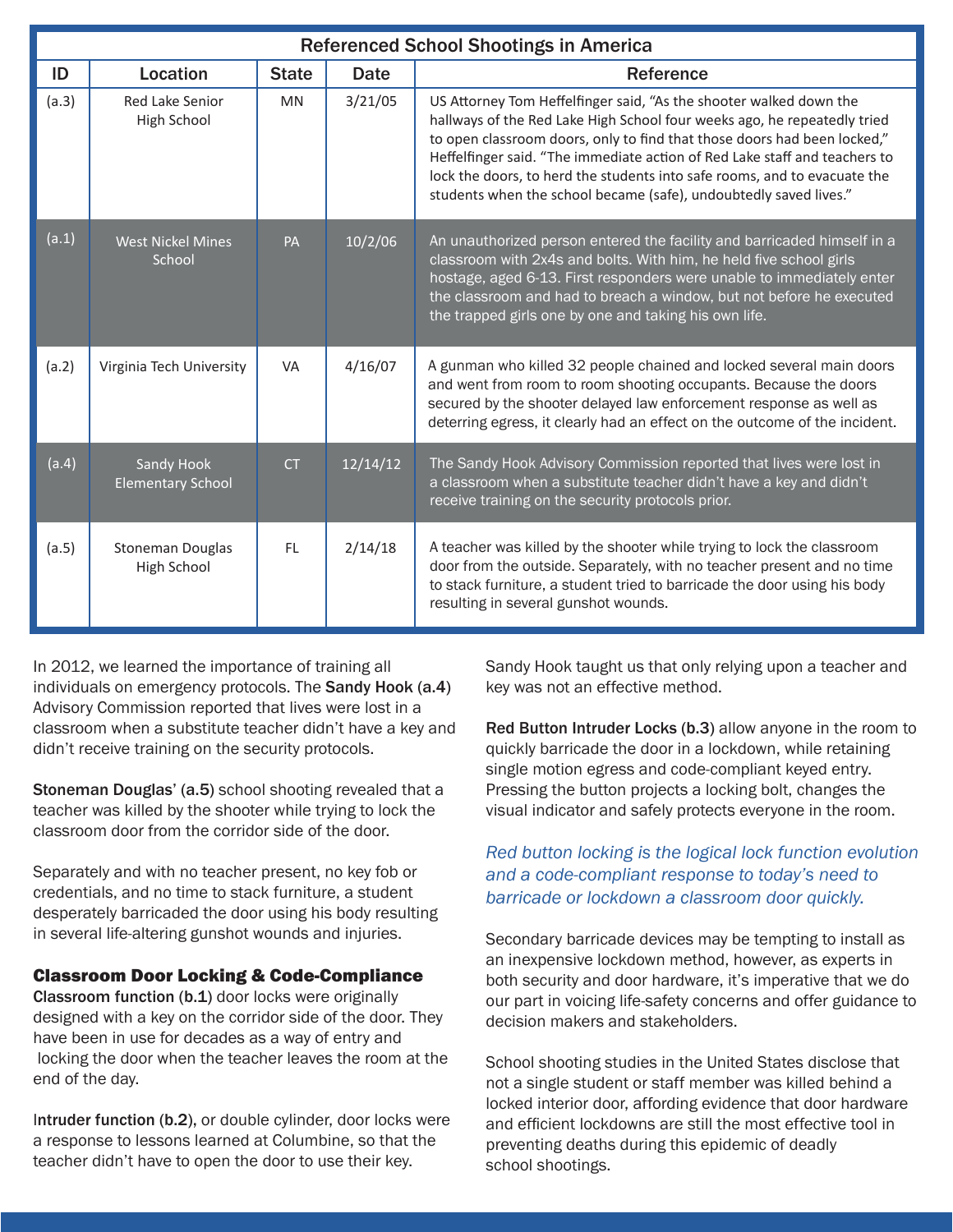| <b>Referenced School Shootings in America</b> |                                        |              |          |                                                                                                                                                                                                                                                                                                                                                                                                                                                            |
|-----------------------------------------------|----------------------------------------|--------------|----------|------------------------------------------------------------------------------------------------------------------------------------------------------------------------------------------------------------------------------------------------------------------------------------------------------------------------------------------------------------------------------------------------------------------------------------------------------------|
| ID                                            | Location                               | <b>State</b> | Date     | Reference                                                                                                                                                                                                                                                                                                                                                                                                                                                  |
| (a.3)                                         | <b>Red Lake Senior</b><br>High School  | <b>MN</b>    | 3/21/05  | US Attorney Tom Heffelfinger said, "As the shooter walked down the<br>hallways of the Red Lake High School four weeks ago, he repeatedly tried<br>to open classroom doors, only to find that those doors had been locked,"<br>Heffelfinger said. "The immediate action of Red Lake staff and teachers to<br>lock the doors, to herd the students into safe rooms, and to evacuate the<br>students when the school became (safe), undoubtedly saved lives." |
| (a.1)                                         | <b>West Nickel Mines</b><br>School     | <b>PA</b>    | 10/2/06  | An unauthorized person entered the facility and barricaded himself in a<br>classroom with 2x4s and bolts. With him, he held five school girls<br>hostage, aged 6-13. First responders were unable to immediately enter<br>the classroom and had to breach a window, but not before he executed<br>the trapped girls one by one and taking his own life.                                                                                                    |
| (a.2)                                         | Virginia Tech University               | <b>VA</b>    | 4/16/07  | A gunman who killed 32 people chained and locked several main doors<br>and went from room to room shooting occupants. Because the doors<br>secured by the shooter delayed law enforcement response as well as<br>deterring egress, it clearly had an effect on the outcome of the incident.                                                                                                                                                                |
| (a.4)                                         | Sandy Hook<br><b>Elementary School</b> | <b>CT</b>    | 12/14/12 | The Sandy Hook Advisory Commission reported that lives were lost in<br>a classroom when a substitute teacher didn't have a key and didn't<br>receive training on the security protocols prior.                                                                                                                                                                                                                                                             |
| (a.5)                                         | Stoneman Douglas<br>High School        | <b>FL</b>    | 2/14/18  | A teacher was killed by the shooter while trying to lock the classroom<br>door from the outside. Separately, with no teacher present and no time<br>to stack furniture, a student tried to barricade the door using his body<br>resulting in several gunshot wounds.                                                                                                                                                                                       |

In 2012, we learned the importance of training all individuals on emergency protocols. The Sandy Hook (a.4) Advisory Commission reported that lives were lost in a classroom when a substitute teacher didn't have a key and didn't receive training on the security protocols.

Stoneman Douglas' (a.5) school shooting revealed that a teacher was killed by the shooter while trying to lock the classroom door from the corridor side of the door.

Separately and with no teacher present, no key fob or credentials, and no time to stack furniture, a student desperately barricaded the door using his body resulting in several life-altering gunshot wounds and injuries.

### Classroom Door Locking & Code-Compliance

Classroom function (b.1) door locks were originally designed with a key on the corridor side of the door. They have been in use for decades as a way of entry and locking the door when the teacher leaves the room at the end of the day.

Intruder function (b.2), or double cylinder, door locks were a response to lessons learned at Columbine, so that the teacher didn't have to open the door to use their key.

Sandy Hook taught us that only relying upon a teacher and key was not an effective method.

Red Button Intruder Locks (b.3) allow anyone in the room to quickly barricade the door in a lockdown, while retaining single motion egress and code-compliant keyed entry. Pressing the button projects a locking bolt, changes the visual indicator and safely protects everyone in the room.

### *Red button locking is the logical lock function evolution and a code-compliant response to today's need to barricade or lockdown a classroom door quickly.*

Secondary barricade devices may be tempting to install as an inexpensive lockdown method, however, as experts in both security and door hardware, it's imperative that we do our part in voicing life-safety concerns and offer guidance to decision makers and stakeholders.

School shooting studies in the United States disclose that not a single student or staff member was killed behind a locked interior door, affording evidence that door hardware and efficient lockdowns are still the most effective tool in preventing deaths during this epidemic of deadly school shootings.